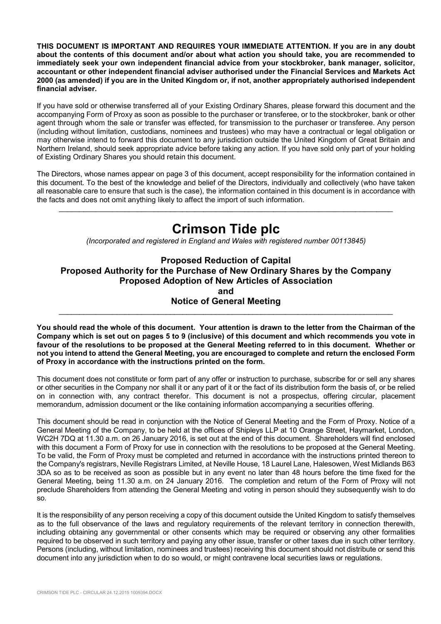**THIS DOCUMENT IS IMPORTANT AND REQUIRES YOUR IMMEDIATE ATTENTION. If you are in any doubt about the contents of this document and/or about what action you should take, you are recommended to immediately seek your own independent financial advice from your stockbroker, bank manager, solicitor, accountant or other independent financial adviser authorised under the Financial Services and Markets Act 2000 (as amended) if you are in the United Kingdom or, if not, another appropriately authorised independent financial adviser.** 

If you have sold or otherwise transferred all of your Existing Ordinary Shares, please forward this document and the accompanying Form of Proxy as soon as possible to the purchaser or transferee, or to the stockbroker, bank or other agent through whom the sale or transfer was effected, for transmission to the purchaser or transferee. Any person (including without limitation, custodians, nominees and trustees) who may have a contractual or legal obligation or may otherwise intend to forward this document to any jurisdiction outside the United Kingdom of Great Britain and Northern Ireland, should seek appropriate advice before taking any action. If you have sold only part of your holding of Existing Ordinary Shares you should retain this document.

The Directors, whose names appear on page 3 of this document, accept responsibility for the information contained in this document. To the best of the knowledge and belief of the Directors, individually and collectively (who have taken all reasonable care to ensure that such is the case), the information contained in this document is in accordance with the facts and does not omit anything likely to affect the import of such information.

\_\_\_\_\_\_\_\_\_\_\_\_\_\_\_\_\_\_\_\_\_\_\_\_\_\_\_\_\_\_\_\_\_\_\_\_\_\_\_\_\_\_\_\_\_\_\_\_\_\_\_\_\_\_\_\_\_\_\_\_\_\_\_\_\_\_\_\_\_\_\_\_\_\_\_\_\_\_\_\_\_

# **Crimson Tide plc**

*(Incorporated and registered in England and Wales with registered number 00113845)* 

# **Proposed Reduction of Capital Proposed Authority for the Purchase of New Ordinary Shares by the Company Proposed Adoption of New Articles of Association and**

**Notice of General Meeting**  \_\_\_\_\_\_\_\_\_\_\_\_\_\_\_\_\_\_\_\_\_\_\_\_\_\_\_\_\_\_\_\_\_\_\_\_\_\_\_\_\_\_\_\_\_\_\_\_\_\_\_\_\_\_\_\_\_\_\_\_\_\_\_\_\_\_\_\_\_\_\_\_\_\_\_\_\_\_\_\_\_

**You should read the whole of this document. Your attention is drawn to the letter from the Chairman of the Company which is set out on pages 5 to 9 (inclusive) of this document and which recommends you vote in favour of the resolutions to be proposed at the General Meeting referred to in this document. Whether or not you intend to attend the General Meeting, you are encouraged to complete and return the enclosed Form of Proxy in accordance with the instructions printed on the form.** 

This document does not constitute or form part of any offer or instruction to purchase, subscribe for or sell any shares or other securities in the Company nor shall it or any part of it or the fact of its distribution form the basis of, or be relied on in connection with, any contract therefor. This document is not a prospectus, offering circular, placement memorandum, admission document or the like containing information accompanying a securities offering.

This document should be read in conjunction with the Notice of General Meeting and the Form of Proxy. Notice of a General Meeting of the Company, to be held at the offices of Shipleys LLP at 10 Orange Street, Haymarket, London, WC2H 7DQ at 11.30 a.m. on 26 January 2016, is set out at the end of this document. Shareholders will find enclosed with this document a Form of Proxy for use in connection with the resolutions to be proposed at the General Meeting. To be valid, the Form of Proxy must be completed and returned in accordance with the instructions printed thereon to the Company's registrars, Neville Registrars Limited, at Neville House, 18 Laurel Lane, Halesowen, West Midlands B63 3DA so as to be received as soon as possible but in any event no later than 48 hours before the time fixed for the General Meeting, being 11.30 a.m. on 24 January 2016. The completion and return of the Form of Proxy will not preclude Shareholders from attending the General Meeting and voting in person should they subsequently wish to do so.

It is the responsibility of any person receiving a copy of this document outside the United Kingdom to satisfy themselves as to the full observance of the laws and regulatory requirements of the relevant territory in connection therewith, including obtaining any governmental or other consents which may be required or observing any other formalities required to be observed in such territory and paying any other issue, transfer or other taxes due in such other territory. Persons (including, without limitation, nominees and trustees) receiving this document should not distribute or send this document into any jurisdiction when to do so would, or might contravene local securities laws or regulations.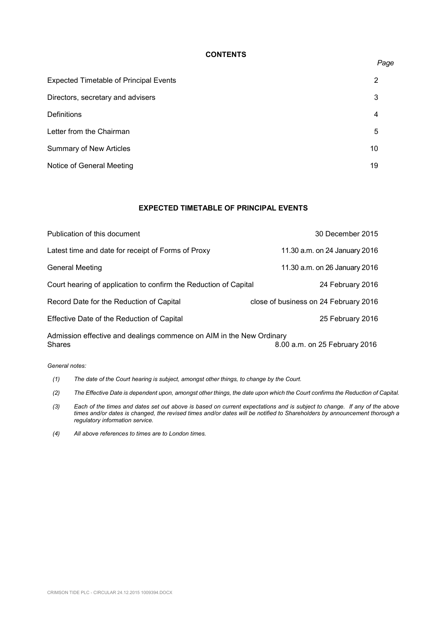## **CONTENTS**

| <b>Expected Timetable of Principal Events</b> | 2  |
|-----------------------------------------------|----|
| Directors, secretary and advisers             | 3  |
| <b>Definitions</b>                            | 4  |
| Letter from the Chairman                      | 5  |
| <b>Summary of New Articles</b>                | 10 |
| Notice of General Meeting                     | 19 |

# **EXPECTED TIMETABLE OF PRINCIPAL EVENTS**

| Publication of this document                                                          | 30 December 2015                      |
|---------------------------------------------------------------------------------------|---------------------------------------|
| Latest time and date for receipt of Forms of Proxy                                    | 11.30 a.m. on 24 January 2016         |
| <b>General Meeting</b>                                                                | 11.30 a.m. on 26 January 2016         |
| Court hearing of application to confirm the Reduction of Capital                      | 24 February 2016                      |
| Record Date for the Reduction of Capital                                              | close of business on 24 February 2016 |
| Effective Date of the Reduction of Capital                                            | 25 February 2016                      |
| Admission effective and dealings commence on AIM in the New Ordinary<br><b>Shares</b> | 8.00 a.m. on 25 February 2016         |

*General notes:* 

- *(1) The date of the Court hearing is subject, amongst other things, to change by the Court.*
- *(2) The Effective Date is dependent upon, amongst other things, the date upon which the Court confirms the Reduction of Capital.*
- *(3) Each of the times and dates set out above is based on current expectations and is subject to change. If any of the above times and/or dates is changed, the revised times and/or dates will be notified to Shareholders by announcement thorough a regulatory information service.*
- *(4) All above references to times are to London times.*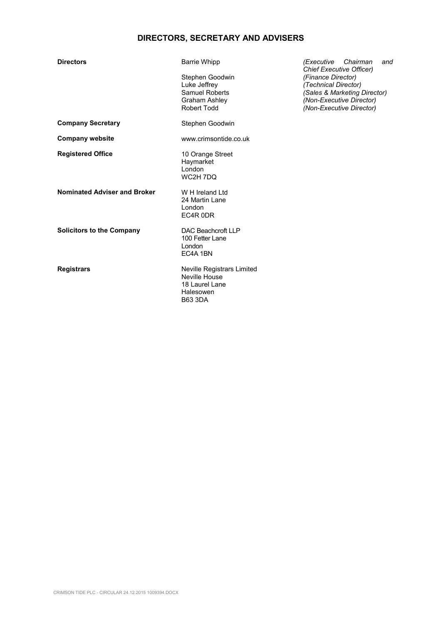## **DIRECTORS, SECRETARY AND ADVISERS**

Stephen Goodwin *(Finance Director)* 

**Company Secretary Stephen Goodwin** 

**Company website www.crimsontide.co.uk** 

**Registered Office** 10 Orange Street Haymarket London WC2H 7DQ

**Nominated Adviser and Broker** W H Ireland Ltd

**Solicitors to the Company** DAC Beachcroft LLP

24 Martin Lane London EC4R 0DR

100 Fetter Lane London EC4A 1BN

**Registrars Neville Registrars Limited** Neville House 18 Laurel Lane Halesowen B63 3DA

**Directors** Barrie Whipp *(Executive Chairman and Chief Executive Officer)*  Luke Jeffrey *(Technical Director)*  Samuel Roberts *(Sales & Marketing Director) (Non-Executive Director)* Robert Todd *(Non-Executive Director)*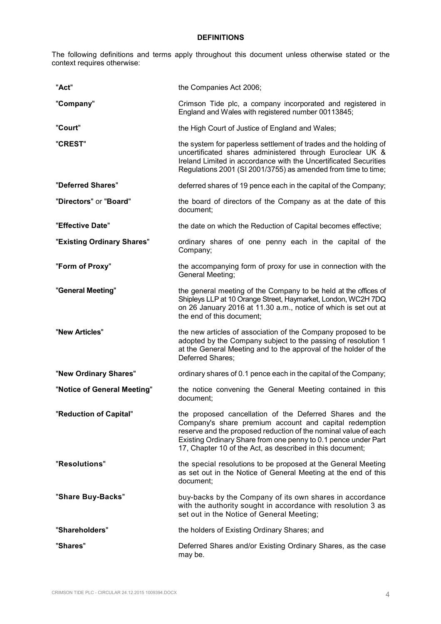## **DEFINITIONS**

The following definitions and terms apply throughout this document unless otherwise stated or the context requires otherwise:

| "Act"                       | the Companies Act 2006;                                                                                                                                                                                                                                                                                              |
|-----------------------------|----------------------------------------------------------------------------------------------------------------------------------------------------------------------------------------------------------------------------------------------------------------------------------------------------------------------|
| "Company"                   | Crimson Tide plc, a company incorporated and registered in<br>England and Wales with registered number 00113845;                                                                                                                                                                                                     |
| "Court"                     | the High Court of Justice of England and Wales;                                                                                                                                                                                                                                                                      |
| "CREST"                     | the system for paperless settlement of trades and the holding of<br>uncertificated shares administered through Euroclear UK &<br>Ireland Limited in accordance with the Uncertificated Securities<br>Regulations 2001 (SI 2001/3755) as amended from time to time;                                                   |
| "Deferred Shares"           | deferred shares of 19 pence each in the capital of the Company;                                                                                                                                                                                                                                                      |
| "Directors" or "Board"      | the board of directors of the Company as at the date of this<br>document;                                                                                                                                                                                                                                            |
| "Effective Date"            | the date on which the Reduction of Capital becomes effective;                                                                                                                                                                                                                                                        |
| "Existing Ordinary Shares"  | ordinary shares of one penny each in the capital of the<br>Company;                                                                                                                                                                                                                                                  |
| "Form of Proxy"             | the accompanying form of proxy for use in connection with the<br>General Meeting;                                                                                                                                                                                                                                    |
| "General Meeting"           | the general meeting of the Company to be held at the offices of<br>Shipleys LLP at 10 Orange Street, Haymarket, London, WC2H 7DQ<br>on 26 January 2016 at 11.30 a.m., notice of which is set out at<br>the end of this document;                                                                                     |
| "New Articles"              | the new articles of association of the Company proposed to be<br>adopted by the Company subject to the passing of resolution 1<br>at the General Meeting and to the approval of the holder of the<br>Deferred Shares;                                                                                                |
| "New Ordinary Shares"       | ordinary shares of 0.1 pence each in the capital of the Company;                                                                                                                                                                                                                                                     |
| "Notice of General Meeting" | the notice convening the General Meeting contained in this<br>document;                                                                                                                                                                                                                                              |
| "Reduction of Capital"      | the proposed cancellation of the Deferred Shares and the<br>Company's share premium account and capital redemption<br>reserve and the proposed reduction of the nominal value of each<br>Existing Ordinary Share from one penny to 0.1 pence under Part<br>17, Chapter 10 of the Act, as described in this document; |
| "Resolutions"               | the special resolutions to be proposed at the General Meeting<br>as set out in the Notice of General Meeting at the end of this<br>document:                                                                                                                                                                         |
| "Share Buy-Backs"           | buy-backs by the Company of its own shares in accordance<br>with the authority sought in accordance with resolution 3 as<br>set out in the Notice of General Meeting;                                                                                                                                                |
| "Shareholders"              | the holders of Existing Ordinary Shares; and                                                                                                                                                                                                                                                                         |
| "Shares"                    | Deferred Shares and/or Existing Ordinary Shares, as the case<br>may be.                                                                                                                                                                                                                                              |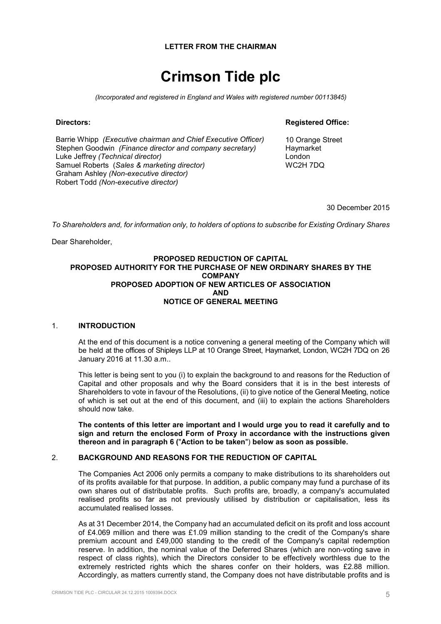#### **LETTER FROM THE CHAIRMAN**

# **Crimson Tide plc**

*(Incorporated and registered in England and Wales with registered number 00113845)* 

#### **Directors:**

Barrie Whipp *(Executive chairman and Chief Executive Officer)* Stephen Goodwin *(Finance director and company secretary)*  Luke Jeffrey *(Technical director)* Samuel Roberts (*Sales & marketing director)*  Graham Ashley *(Non-executive director)*  Robert Todd *(Non-executive director)*

#### **Registered Office:**

10 Orange Street Haymarket London WC2H 7DQ

30 December 2015

*To Shareholders and, for information only, to holders of options to subscribe for Existing Ordinary Shares* 

Dear Shareholder,

#### **PROPOSED REDUCTION OF CAPITAL PROPOSED AUTHORITY FOR THE PURCHASE OF NEW ORDINARY SHARES BY THE COMPANY PROPOSED ADOPTION OF NEW ARTICLES OF ASSOCIATION AND NOTICE OF GENERAL MEETING**

#### 1. **INTRODUCTION**

At the end of this document is a notice convening a general meeting of the Company which will be held at the offices of Shipleys LLP at 10 Orange Street, Haymarket, London, WC2H 7DQ on 26 January 2016 at 11.30 a.m..

This letter is being sent to you (i) to explain the background to and reasons for the Reduction of Capital and other proposals and why the Board considers that it is in the best interests of Shareholders to vote in favour of the Resolutions, (ii) to give notice of the General Meeting, notice of which is set out at the end of this document, and (iii) to explain the actions Shareholders should now take.

**The contents of this letter are important and I would urge you to read it carefully and to sign and return the enclosed Form of Proxy in accordance with the instructions given thereon and in paragraph 6 (**"**Action to be taken**") **below as soon as possible.** 

## 2. **BACKGROUND AND REASONS FOR THE REDUCTION OF CAPITAL**

The Companies Act 2006 only permits a company to make distributions to its shareholders out of its profits available for that purpose. In addition, a public company may fund a purchase of its own shares out of distributable profits. Such profits are, broadly, a company's accumulated realised profits so far as not previously utilised by distribution or capitalisation, less its accumulated realised losses.

As at 31 December 2014, the Company had an accumulated deficit on its profit and loss account of £4.069 million and there was £1.09 million standing to the credit of the Company's share premium account and £49,000 standing to the credit of the Company's capital redemption reserve. In addition, the nominal value of the Deferred Shares (which are non-voting save in respect of class rights), which the Directors consider to be effectively worthless due to the extremely restricted rights which the shares confer on their holders, was £2.88 million. Accordingly, as matters currently stand, the Company does not have distributable profits and is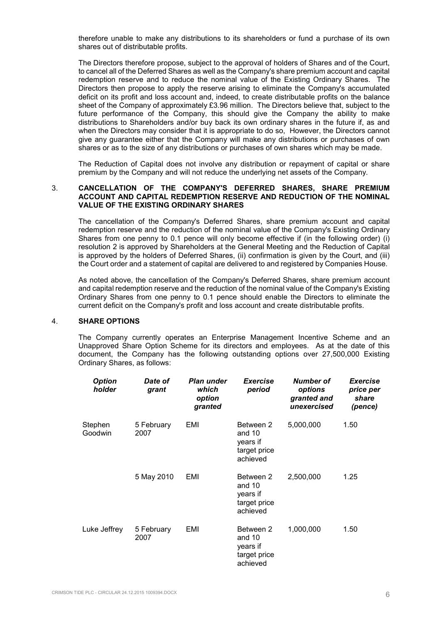therefore unable to make any distributions to its shareholders or fund a purchase of its own shares out of distributable profits.

The Directors therefore propose, subject to the approval of holders of Shares and of the Court, to cancel all of the Deferred Shares as well as the Company's share premium account and capital redemption reserve and to reduce the nominal value of the Existing Ordinary Shares. The Directors then propose to apply the reserve arising to eliminate the Company's accumulated deficit on its profit and loss account and, indeed, to create distributable profits on the balance sheet of the Company of approximately £3.96 million. The Directors believe that, subject to the future performance of the Company, this should give the Company the ability to make distributions to Shareholders and/or buy back its own ordinary shares in the future if, as and when the Directors may consider that it is appropriate to do so, However, the Directors cannot give any guarantee either that the Company will make any distributions or purchases of own shares or as to the size of any distributions or purchases of own shares which may be made.

The Reduction of Capital does not involve any distribution or repayment of capital or share premium by the Company and will not reduce the underlying net assets of the Company.

#### 3. **CANCELLATION OF THE COMPANY'S DEFERRED SHARES, SHARE PREMIUM ACCOUNT AND CAPITAL REDEMPTION RESERVE AND REDUCTION OF THE NOMINAL VALUE OF THE EXISTING ORDINARY SHARES**

The cancellation of the Company's Deferred Shares, share premium account and capital redemption reserve and the reduction of the nominal value of the Company's Existing Ordinary Shares from one penny to 0.1 pence will only become effective if (in the following order) (i) resolution 2 is approved by Shareholders at the General Meeting and the Reduction of Capital is approved by the holders of Deferred Shares, (ii) confirmation is given by the Court, and (iii) the Court order and a statement of capital are delivered to and registered by Companies House.

As noted above, the cancellation of the Company's Deferred Shares, share premium account and capital redemption reserve and the reduction of the nominal value of the Company's Existing Ordinary Shares from one penny to 0.1 pence should enable the Directors to eliminate the current deficit on the Company's profit and loss account and create distributable profits.

### 4. **SHARE OPTIONS**

The Company currently operates an Enterprise Management Incentive Scheme and an Unapproved Share Option Scheme for its directors and employees. As at the date of this document, the Company has the following outstanding options over 27,500,000 Existing Ordinary Shares, as follows:

| <b>Option</b><br>holder | Date of<br>grant   | <b>Plan under</b><br>which<br>option<br>granted | Exercise<br>period                                            | Number of<br>options<br>granted and<br>unexercised | <i>Exercise</i><br>price per<br>share<br>(pence) |
|-------------------------|--------------------|-------------------------------------------------|---------------------------------------------------------------|----------------------------------------------------|--------------------------------------------------|
| Stephen<br>Goodwin      | 5 February<br>2007 | EMI                                             | Between 2<br>and 10<br>years if<br>target price<br>achieved   | 5,000,000                                          | 1.50                                             |
|                         | 5 May 2010         | EMI                                             | Between 2<br>and $10$<br>years if<br>target price<br>achieved | 2,500,000                                          | 1.25                                             |
| Luke Jeffrey            | 5 February<br>2007 | EMI                                             | Between 2<br>and 10<br>years if<br>target price<br>achieved   | 1,000,000                                          | 1.50                                             |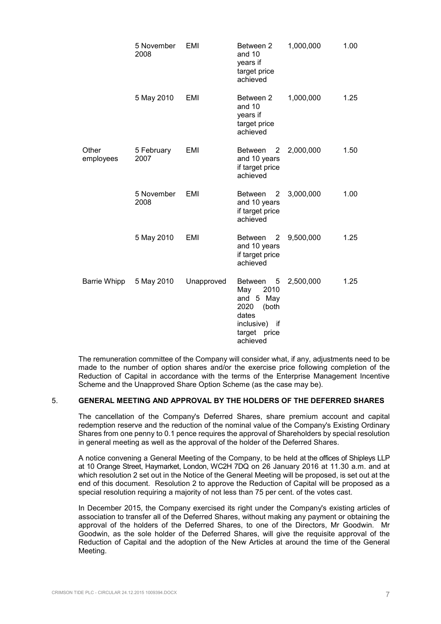|                    | 5 November<br>2008 | EMI        | Between 2<br>and 10<br>years if<br>target price<br>achieved                                                               | 1,000,000 | 1.00 |
|--------------------|--------------------|------------|---------------------------------------------------------------------------------------------------------------------------|-----------|------|
|                    | 5 May 2010         | EMI        | Between 2<br>and 10<br>years if<br>target price<br>achieved                                                               | 1,000,000 | 1.25 |
| Other<br>employees | 5 February<br>2007 | EMI        | <b>Between</b><br>2<br>and 10 years<br>if target price<br>achieved                                                        | 2,000,000 | 1.50 |
|                    | 5 November<br>2008 | EMI        | 2<br><b>Between</b><br>and 10 years<br>if target price<br>achieved                                                        | 3,000,000 | 1.00 |
|                    | 5 May 2010         | EMI        | <b>Between</b><br>2<br>and 10 years<br>if target price<br>achieved                                                        | 9,500,000 | 1.25 |
| Barrie Whipp       | 5 May 2010         | Unapproved | <b>Between</b><br>5<br>2010<br>May<br>and 5 May<br>2020<br>(both<br>dates<br>inclusive) if<br>target<br>price<br>achieved | 2,500,000 | 1.25 |

The remuneration committee of the Company will consider what, if any, adjustments need to be made to the number of option shares and/or the exercise price following completion of the Reduction of Capital in accordance with the terms of the Enterprise Management Incentive Scheme and the Unapproved Share Option Scheme (as the case may be).

#### 5. **GENERAL MEETING AND APPROVAL BY THE HOLDERS OF THE DEFERRED SHARES**

The cancellation of the Company's Deferred Shares, share premium account and capital redemption reserve and the reduction of the nominal value of the Company's Existing Ordinary Shares from one penny to 0.1 pence requires the approval of Shareholders by special resolution in general meeting as well as the approval of the holder of the Deferred Shares.

A notice convening a General Meeting of the Company, to be held at the offices of Shipleys LLP at 10 Orange Street, Haymarket, London, WC2H 7DQ on 26 January 2016 at 11.30 a.m. and at which resolution 2 set out in the Notice of the General Meeting will be proposed, is set out at the end of this document. Resolution 2 to approve the Reduction of Capital will be proposed as a special resolution requiring a majority of not less than 75 per cent. of the votes cast.

In December 2015, the Company exercised its right under the Company's existing articles of association to transfer all of the Deferred Shares, without making any payment or obtaining the approval of the holders of the Deferred Shares, to one of the Directors, Mr Goodwin. Mr Goodwin, as the sole holder of the Deferred Shares, will give the requisite approval of the Reduction of Capital and the adoption of the New Articles at around the time of the General Meeting.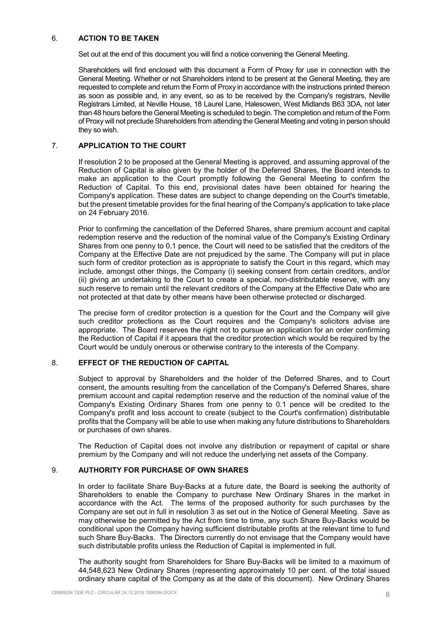## 6. **ACTION TO BE TAKEN**

Set out at the end of this document you will find a notice convening the General Meeting.

Shareholders will find enclosed with this document a Form of Proxy for use in connection with the General Meeting. Whether or not Shareholders intend to be present at the General Meeting, they are requested to complete and return the Form of Proxy in accordance with the instructions printed thereon as soon as possible and, in any event, so as to be received by the Company's registrars, Neville Registrars Limited, at Neville House, 18 Laurel Lane, Halesowen, West Midlands B63 3DA, not later than 48 hours before the General Meeting is scheduled to begin. The completion and return of the Form of Proxy will not preclude Shareholders from attending the General Meeting and voting in person should they so wish.

## 7. **APPLICATION TO THE COURT**

If resolution 2 to be proposed at the General Meeting is approved, and assuming approval of the Reduction of Capital is also given by the holder of the Deferred Shares, the Board intends to make an application to the Court promptly following the General Meeting to confirm the Reduction of Capital. To this end, provisional dates have been obtained for hearing the Company's application. These dates are subject to change depending on the Court's timetable, but the present timetable provides for the final hearing of the Company's application to take place on 24 February 2016.

Prior to confirming the cancellation of the Deferred Shares, share premium account and capital redemption reserve and the reduction of the nominal value of the Company's Existing Ordinary Shares from one penny to 0.1 pence, the Court will need to be satisfied that the creditors of the Company at the Effective Date are not prejudiced by the same. The Company will put in place such form of creditor protection as is appropriate to satisfy the Court in this regard, which may include, amongst other things, the Company (i) seeking consent from certain creditors, and/or (ii) giving an undertaking to the Court to create a special, non-distributable reserve, with any such reserve to remain until the relevant creditors of the Company at the Effective Date who are not protected at that date by other means have been otherwise protected or discharged.

The precise form of creditor protection is a question for the Court and the Company will give such creditor protections as the Court requires and the Company's solicitors advise are appropriate. The Board reserves the right not to pursue an application for an order confirming the Reduction of Capital if it appears that the creditor protection which would be required by the Court would be unduly onerous or otherwise contrary to the interests of the Company.

## 8. **EFFECT OF THE REDUCTION OF CAPITAL**

Subject to approval by Shareholders and the holder of the Deferred Shares, and to Court consent, the amounts resulting from the cancellation of the Company's Deferred Shares, share premium account and capital redemption reserve and the reduction of the nominal value of the Company's Existing Ordinary Shares from one penny to 0.1 pence will be credited to the Company's profit and loss account to create (subject to the Court's confirmation) distributable profits that the Company will be able to use when making any future distributions to Shareholders or purchases of own shares.

The Reduction of Capital does not involve any distribution or repayment of capital or share premium by the Company and will not reduce the underlying net assets of the Company.

#### 9. **AUTHORITY FOR PURCHASE OF OWN SHARES**

In order to facilitate Share Buy-Backs at a future date, the Board is seeking the authority of Shareholders to enable the Company to purchase New Ordinary Shares in the market in accordance with the Act. The terms of the proposed authority for such purchases by the Company are set out in full in resolution 3 as set out in the Notice of General Meeting. Save as may otherwise be permitted by the Act from time to time, any such Share Buy-Backs would be conditional upon the Company having sufficient distributable profits at the relevant time to fund such Share Buy-Backs. The Directors currently do not envisage that the Company would have such distributable profits unless the Reduction of Capital is implemented in full.

The authority sought from Shareholders for Share Buy-Backs will be limited to a maximum of 44,548,623 New Ordinary Shares (representing approximately 10 per cent. of the total issued ordinary share capital of the Company as at the date of this document). New Ordinary Shares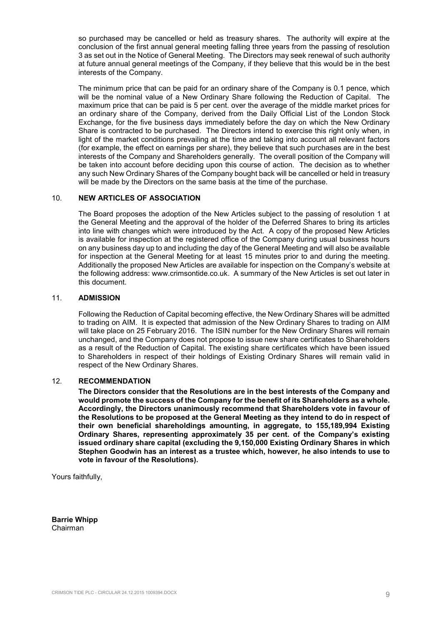so purchased may be cancelled or held as treasury shares. The authority will expire at the conclusion of the first annual general meeting falling three years from the passing of resolution 3 as set out in the Notice of General Meeting. The Directors may seek renewal of such authority at future annual general meetings of the Company, if they believe that this would be in the best interests of the Company.

The minimum price that can be paid for an ordinary share of the Company is 0.1 pence, which will be the nominal value of a New Ordinary Share following the Reduction of Capital. The maximum price that can be paid is 5 per cent. over the average of the middle market prices for an ordinary share of the Company, derived from the Daily Official List of the London Stock Exchange, for the five business days immediately before the day on which the New Ordinary Share is contracted to be purchased. The Directors intend to exercise this right only when, in light of the market conditions prevailing at the time and taking into account all relevant factors (for example, the effect on earnings per share), they believe that such purchases are in the best interests of the Company and Shareholders generally. The overall position of the Company will be taken into account before deciding upon this course of action. The decision as to whether any such New Ordinary Shares of the Company bought back will be cancelled or held in treasury will be made by the Directors on the same basis at the time of the purchase.

## 10. **NEW ARTICLES OF ASSOCIATION**

The Board proposes the adoption of the New Articles subject to the passing of resolution 1 at the General Meeting and the approval of the holder of the Deferred Shares to bring its articles into line with changes which were introduced by the Act. A copy of the proposed New Articles is available for inspection at the registered office of the Company during usual business hours on any business day up to and including the day of the General Meeting and will also be available for inspection at the General Meeting for at least 15 minutes prior to and during the meeting. Additionally the proposed New Articles are available for inspection on the Company's website at the following address: www.crimsontide.co.uk. A summary of the New Articles is set out later in this document.

## 11. **ADMISSION**

Following the Reduction of Capital becoming effective, the New Ordinary Shares will be admitted to trading on AIM. It is expected that admission of the New Ordinary Shares to trading on AIM will take place on 25 February 2016. The ISIN number for the New Ordinary Shares will remain unchanged, and the Company does not propose to issue new share certificates to Shareholders as a result of the Reduction of Capital. The existing share certificates which have been issued to Shareholders in respect of their holdings of Existing Ordinary Shares will remain valid in respect of the New Ordinary Shares.

#### 12. **RECOMMENDATION**

**The Directors consider that the Resolutions are in the best interests of the Company and would promote the success of the Company for the benefit of its Shareholders as a whole. Accordingly, the Directors unanimously recommend that Shareholders vote in favour of the Resolutions to be proposed at the General Meeting as they intend to do in respect of their own beneficial shareholdings amounting, in aggregate, to 155,189,994 Existing Ordinary Shares, representing approximately 35 per cent. of the Company's existing issued ordinary share capital (excluding the 9,150,000 Existing Ordinary Shares in which Stephen Goodwin has an interest as a trustee which, however, he also intends to use to vote in favour of the Resolutions).** 

Yours faithfully,

**Barrie Whipp**  Chairman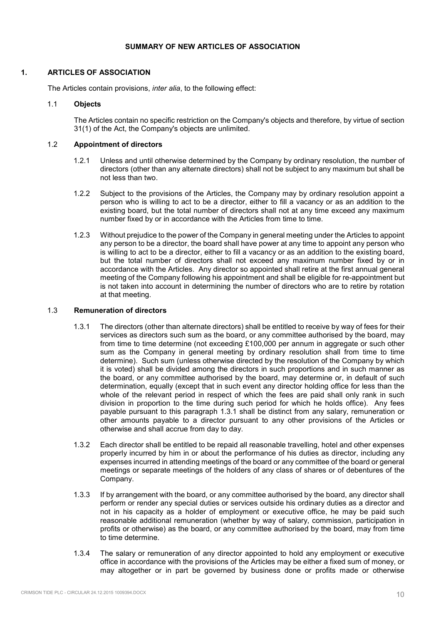## **SUMMARY OF NEW ARTICLES OF ASSOCIATION**

## **1. ARTICLES OF ASSOCIATION**

The Articles contain provisions, *inter alia*, to the following effect:

## 1.1 **Objects**

The Articles contain no specific restriction on the Company's objects and therefore, by virtue of section 31(1) of the Act, the Company's objects are unlimited.

## 1.2 **Appointment of directors**

- 1.2.1 Unless and until otherwise determined by the Company by ordinary resolution, the number of directors (other than any alternate directors) shall not be subject to any maximum but shall be not less than two.
- 1.2.2 Subject to the provisions of the Articles, the Company may by ordinary resolution appoint a person who is willing to act to be a director, either to fill a vacancy or as an addition to the existing board, but the total number of directors shall not at any time exceed any maximum number fixed by or in accordance with the Articles from time to time.
- 1.2.3 Without prejudice to the power of the Company in general meeting under the Articles to appoint any person to be a director, the board shall have power at any time to appoint any person who is willing to act to be a director, either to fill a vacancy or as an addition to the existing board, but the total number of directors shall not exceed any maximum number fixed by or in accordance with the Articles. Any director so appointed shall retire at the first annual general meeting of the Company following his appointment and shall be eligible for re-appointment but is not taken into account in determining the number of directors who are to retire by rotation at that meeting.

## 1.3 **Remuneration of directors**

- 1.3.1 The directors (other than alternate directors) shall be entitled to receive by way of fees for their services as directors such sum as the board, or any committee authorised by the board, may from time to time determine (not exceeding £100,000 per annum in aggregate or such other sum as the Company in general meeting by ordinary resolution shall from time to time determine). Such sum (unless otherwise directed by the resolution of the Company by which it is voted) shall be divided among the directors in such proportions and in such manner as the board, or any committee authorised by the board, may determine or, in default of such determination, equally (except that in such event any director holding office for less than the whole of the relevant period in respect of which the fees are paid shall only rank in such division in proportion to the time during such period for which he holds office). Any fees payable pursuant to this paragraph 1.3.1 shall be distinct from any salary, remuneration or other amounts payable to a director pursuant to any other provisions of the Articles or otherwise and shall accrue from day to day.
- 1.3.2 Each director shall be entitled to be repaid all reasonable travelling, hotel and other expenses properly incurred by him in or about the performance of his duties as director, including any expenses incurred in attending meetings of the board or any committee of the board or general meetings or separate meetings of the holders of any class of shares or of debentures of the Company.
- 1.3.3 If by arrangement with the board, or any committee authorised by the board, any director shall perform or render any special duties or services outside his ordinary duties as a director and not in his capacity as a holder of employment or executive office, he may be paid such reasonable additional remuneration (whether by way of salary, commission, participation in profits or otherwise) as the board, or any committee authorised by the board, may from time to time determine.
- 1.3.4 The salary or remuneration of any director appointed to hold any employment or executive office in accordance with the provisions of the Articles may be either a fixed sum of money, or may altogether or in part be governed by business done or profits made or otherwise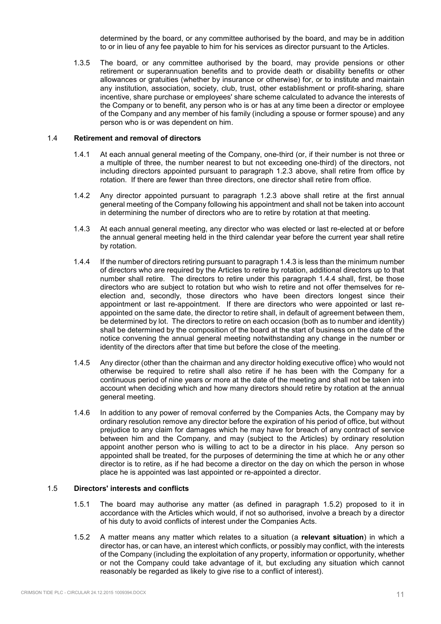determined by the board, or any committee authorised by the board, and may be in addition to or in lieu of any fee payable to him for his services as director pursuant to the Articles.

1.3.5 The board, or any committee authorised by the board, may provide pensions or other retirement or superannuation benefits and to provide death or disability benefits or other allowances or gratuities (whether by insurance or otherwise) for, or to institute and maintain any institution, association, society, club, trust, other establishment or profit-sharing, share incentive, share purchase or employees' share scheme calculated to advance the interests of the Company or to benefit, any person who is or has at any time been a director or employee of the Company and any member of his family (including a spouse or former spouse) and any person who is or was dependent on him.

#### 1.4 **Retirement and removal of directors**

- 1.4.1 At each annual general meeting of the Company, one-third (or, if their number is not three or a multiple of three, the number nearest to but not exceeding one-third) of the directors, not including directors appointed pursuant to paragraph 1.2.3 above, shall retire from office by rotation. If there are fewer than three directors, one director shall retire from office.
- 1.4.2 Any director appointed pursuant to paragraph 1.2.3 above shall retire at the first annual general meeting of the Company following his appointment and shall not be taken into account in determining the number of directors who are to retire by rotation at that meeting.
- 1.4.3 At each annual general meeting, any director who was elected or last re-elected at or before the annual general meeting held in the third calendar year before the current year shall retire by rotation.
- 1.4.4 If the number of directors retiring pursuant to paragraph 1.4.3 is less than the minimum number of directors who are required by the Articles to retire by rotation, additional directors up to that number shall retire. The directors to retire under this paragraph 1.4.4 shall, first, be those directors who are subject to rotation but who wish to retire and not offer themselves for reelection and, secondly, those directors who have been directors longest since their appointment or last re-appointment. If there are directors who were appointed or last reappointed on the same date, the director to retire shall, in default of agreement between them, be determined by lot. The directors to retire on each occasion (both as to number and identity) shall be determined by the composition of the board at the start of business on the date of the notice convening the annual general meeting notwithstanding any change in the number or identity of the directors after that time but before the close of the meeting.
- 1.4.5 Any director (other than the chairman and any director holding executive office) who would not otherwise be required to retire shall also retire if he has been with the Company for a continuous period of nine years or more at the date of the meeting and shall not be taken into account when deciding which and how many directors should retire by rotation at the annual general meeting.
- 1.4.6 In addition to any power of removal conferred by the Companies Acts, the Company may by ordinary resolution remove any director before the expiration of his period of office, but without prejudice to any claim for damages which he may have for breach of any contract of service between him and the Company, and may (subject to the Articles) by ordinary resolution appoint another person who is willing to act to be a director in his place. Any person so appointed shall be treated, for the purposes of determining the time at which he or any other director is to retire, as if he had become a director on the day on which the person in whose place he is appointed was last appointed or re-appointed a director.

#### 1.5 **Directors' interests and conflicts**

- 1.5.1 The board may authorise any matter (as defined in paragraph 1.5.2) proposed to it in accordance with the Articles which would, if not so authorised, involve a breach by a director of his duty to avoid conflicts of interest under the Companies Acts.
- 1.5.2 A matter means any matter which relates to a situation (a **relevant situation**) in which a director has, or can have, an interest which conflicts, or possibly may conflict, with the interests of the Company (including the exploitation of any property, information or opportunity, whether or not the Company could take advantage of it, but excluding any situation which cannot reasonably be regarded as likely to give rise to a conflict of interest).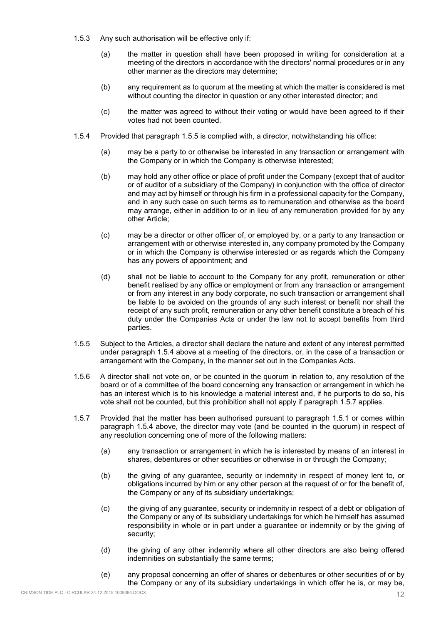- 1.5.3 Any such authorisation will be effective only if:
	- (a) the matter in question shall have been proposed in writing for consideration at a meeting of the directors in accordance with the directors' normal procedures or in any other manner as the directors may determine;
	- (b) any requirement as to quorum at the meeting at which the matter is considered is met without counting the director in question or any other interested director; and
	- (c) the matter was agreed to without their voting or would have been agreed to if their votes had not been counted.
- 1.5.4 Provided that paragraph 1.5.5 is complied with, a director, notwithstanding his office:
	- (a) may be a party to or otherwise be interested in any transaction or arrangement with the Company or in which the Company is otherwise interested;
	- (b) may hold any other office or place of profit under the Company (except that of auditor or of auditor of a subsidiary of the Company) in conjunction with the office of director and may act by himself or through his firm in a professional capacity for the Company, and in any such case on such terms as to remuneration and otherwise as the board may arrange, either in addition to or in lieu of any remuneration provided for by any other Article;
	- (c) may be a director or other officer of, or employed by, or a party to any transaction or arrangement with or otherwise interested in, any company promoted by the Company or in which the Company is otherwise interested or as regards which the Company has any powers of appointment; and
	- (d) shall not be liable to account to the Company for any profit, remuneration or other benefit realised by any office or employment or from any transaction or arrangement or from any interest in any body corporate, no such transaction or arrangement shall be liable to be avoided on the grounds of any such interest or benefit nor shall the receipt of any such profit, remuneration or any other benefit constitute a breach of his duty under the Companies Acts or under the law not to accept benefits from third parties.
- 1.5.5 Subject to the Articles, a director shall declare the nature and extent of any interest permitted under paragraph 1.5.4 above at a meeting of the directors, or, in the case of a transaction or arrangement with the Company, in the manner set out in the Companies Acts.
- 1.5.6 A director shall not vote on, or be counted in the quorum in relation to, any resolution of the board or of a committee of the board concerning any transaction or arrangement in which he has an interest which is to his knowledge a material interest and, if he purports to do so, his vote shall not be counted, but this prohibition shall not apply if paragraph 1.5.7 applies.
- 1.5.7 Provided that the matter has been authorised pursuant to paragraph 1.5.1 or comes within paragraph 1.5.4 above, the director may vote (and be counted in the quorum) in respect of any resolution concerning one of more of the following matters:
	- (a) any transaction or arrangement in which he is interested by means of an interest in shares, debentures or other securities or otherwise in or through the Company;
	- (b) the giving of any guarantee, security or indemnity in respect of money lent to, or obligations incurred by him or any other person at the request of or for the benefit of, the Company or any of its subsidiary undertakings;
	- (c) the giving of any guarantee, security or indemnity in respect of a debt or obligation of the Company or any of its subsidiary undertakings for which he himself has assumed responsibility in whole or in part under a guarantee or indemnity or by the giving of security;
	- (d) the giving of any other indemnity where all other directors are also being offered indemnities on substantially the same terms;
	- (e) any proposal concerning an offer of shares or debentures or other securities of or by the Company or any of its subsidiary undertakings in which offer he is, or may be,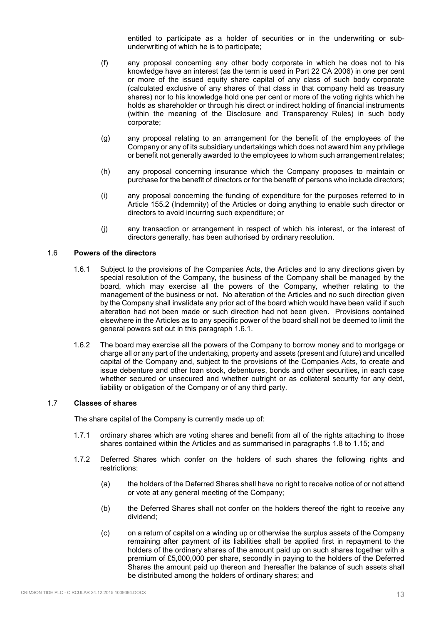entitled to participate as a holder of securities or in the underwriting or subunderwriting of which he is to participate;

- (f) any proposal concerning any other body corporate in which he does not to his knowledge have an interest (as the term is used in Part 22 CA 2006) in one per cent or more of the issued equity share capital of any class of such body corporate (calculated exclusive of any shares of that class in that company held as treasury shares) nor to his knowledge hold one per cent or more of the voting rights which he holds as shareholder or through his direct or indirect holding of financial instruments (within the meaning of the Disclosure and Transparency Rules) in such body corporate;
- (g) any proposal relating to an arrangement for the benefit of the employees of the Company or any of its subsidiary undertakings which does not award him any privilege or benefit not generally awarded to the employees to whom such arrangement relates;
- (h) any proposal concerning insurance which the Company proposes to maintain or purchase for the benefit of directors or for the benefit of persons who include directors;
- (i) any proposal concerning the funding of expenditure for the purposes referred to in Article 155.2 (Indemnity) of the Articles or doing anything to enable such director or directors to avoid incurring such expenditure; or
- (j) any transaction or arrangement in respect of which his interest, or the interest of directors generally, has been authorised by ordinary resolution.

# 1.6 **Powers of the directors**

- 1.6.1 Subject to the provisions of the Companies Acts, the Articles and to any directions given by special resolution of the Company, the business of the Company shall be managed by the board, which may exercise all the powers of the Company, whether relating to the management of the business or not. No alteration of the Articles and no such direction given by the Company shall invalidate any prior act of the board which would have been valid if such alteration had not been made or such direction had not been given. Provisions contained elsewhere in the Articles as to any specific power of the board shall not be deemed to limit the general powers set out in this paragraph 1.6.1.
- 1.6.2 The board may exercise all the powers of the Company to borrow money and to mortgage or charge all or any part of the undertaking, property and assets (present and future) and uncalled capital of the Company and, subject to the provisions of the Companies Acts, to create and issue debenture and other loan stock, debentures, bonds and other securities, in each case whether secured or unsecured and whether outright or as collateral security for any debt, liability or obligation of the Company or of any third party.

## 1.7 **Classes of shares**

The share capital of the Company is currently made up of:

- 1.7.1 ordinary shares which are voting shares and benefit from all of the rights attaching to those shares contained within the Articles and as summarised in paragraphs 1.8 to 1.15; and
- 1.7.2 Deferred Shares which confer on the holders of such shares the following rights and restrictions:
	- (a) the holders of the Deferred Shares shall have no right to receive notice of or not attend or vote at any general meeting of the Company;
	- (b) the Deferred Shares shall not confer on the holders thereof the right to receive any dividend;
	- (c) on a return of capital on a winding up or otherwise the surplus assets of the Company remaining after payment of its liabilities shall be applied first in repayment to the holders of the ordinary shares of the amount paid up on such shares together with a premium of £5,000,000 per share, secondly in paying to the holders of the Deferred Shares the amount paid up thereon and thereafter the balance of such assets shall be distributed among the holders of ordinary shares; and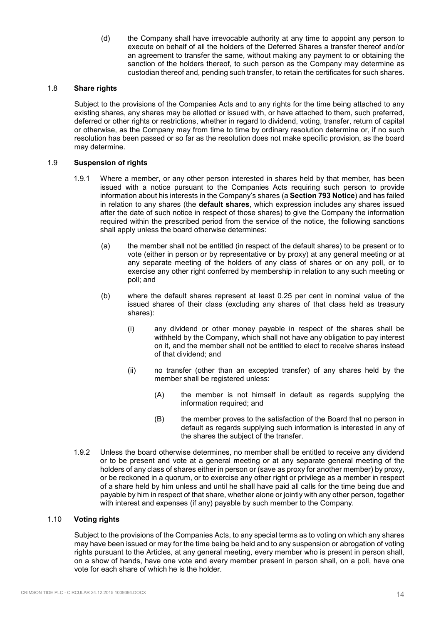(d) the Company shall have irrevocable authority at any time to appoint any person to execute on behalf of all the holders of the Deferred Shares a transfer thereof and/or an agreement to transfer the same, without making any payment to or obtaining the sanction of the holders thereof, to such person as the Company may determine as custodian thereof and, pending such transfer, to retain the certificates for such shares.

## 1.8 **Share rights**

Subject to the provisions of the Companies Acts and to any rights for the time being attached to any existing shares, any shares may be allotted or issued with, or have attached to them, such preferred, deferred or other rights or restrictions, whether in regard to dividend, voting, transfer, return of capital or otherwise, as the Company may from time to time by ordinary resolution determine or, if no such resolution has been passed or so far as the resolution does not make specific provision, as the board may determine.

## 1.9 **Suspension of rights**

- 1.9.1 Where a member, or any other person interested in shares held by that member, has been issued with a notice pursuant to the Companies Acts requiring such person to provide information about his interests in the Company's shares (a **Section 793 Notice**) and has failed in relation to any shares (the **default shares**, which expression includes any shares issued after the date of such notice in respect of those shares) to give the Company the information required within the prescribed period from the service of the notice, the following sanctions shall apply unless the board otherwise determines:
	- (a) the member shall not be entitled (in respect of the default shares) to be present or to vote (either in person or by representative or by proxy) at any general meeting or at any separate meeting of the holders of any class of shares or on any poll, or to exercise any other right conferred by membership in relation to any such meeting or poll; and
	- (b) where the default shares represent at least 0.25 per cent in nominal value of the issued shares of their class (excluding any shares of that class held as treasury shares):
		- (i) any dividend or other money payable in respect of the shares shall be withheld by the Company, which shall not have any obligation to pay interest on it, and the member shall not be entitled to elect to receive shares instead of that dividend; and
		- (ii) no transfer (other than an excepted transfer) of any shares held by the member shall be registered unless:
			- (A) the member is not himself in default as regards supplying the information required; and
			- (B) the member proves to the satisfaction of the Board that no person in default as regards supplying such information is interested in any of the shares the subject of the transfer.
- 1.9.2 Unless the board otherwise determines, no member shall be entitled to receive any dividend or to be present and vote at a general meeting or at any separate general meeting of the holders of any class of shares either in person or (save as proxy for another member) by proxy, or be reckoned in a quorum, or to exercise any other right or privilege as a member in respect of a share held by him unless and until he shall have paid all calls for the time being due and payable by him in respect of that share, whether alone or jointly with any other person, together with interest and expenses (if any) payable by such member to the Company.

## 1.10 **Voting rights**

Subject to the provisions of the Companies Acts, to any special terms as to voting on which any shares may have been issued or may for the time being be held and to any suspension or abrogation of voting rights pursuant to the Articles, at any general meeting, every member who is present in person shall, on a show of hands, have one vote and every member present in person shall, on a poll, have one vote for each share of which he is the holder.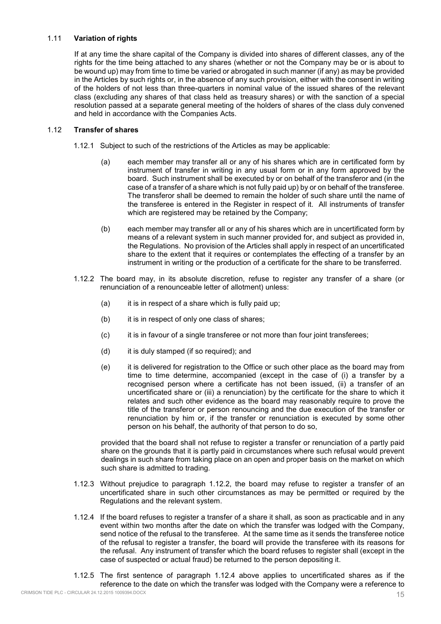## 1.11 **Variation of rights**

If at any time the share capital of the Company is divided into shares of different classes, any of the rights for the time being attached to any shares (whether or not the Company may be or is about to be wound up) may from time to time be varied or abrogated in such manner (if any) as may be provided in the Articles by such rights or, in the absence of any such provision, either with the consent in writing of the holders of not less than three-quarters in nominal value of the issued shares of the relevant class (excluding any shares of that class held as treasury shares) or with the sanction of a special resolution passed at a separate general meeting of the holders of shares of the class duly convened and held in accordance with the Companies Acts.

## 1.12 **Transfer of shares**

- 1.12.1 Subject to such of the restrictions of the Articles as may be applicable:
	- (a) each member may transfer all or any of his shares which are in certificated form by instrument of transfer in writing in any usual form or in any form approved by the board. Such instrument shall be executed by or on behalf of the transferor and (in the case of a transfer of a share which is not fully paid up) by or on behalf of the transferee. The transferor shall be deemed to remain the holder of such share until the name of the transferee is entered in the Register in respect of it. All instruments of transfer which are registered may be retained by the Company;
	- (b) each member may transfer all or any of his shares which are in uncertificated form by means of a relevant system in such manner provided for, and subject as provided in, the Regulations. No provision of the Articles shall apply in respect of an uncertificated share to the extent that it requires or contemplates the effecting of a transfer by an instrument in writing or the production of a certificate for the share to be transferred.
- 1.12.2 The board may, in its absolute discretion, refuse to register any transfer of a share (or renunciation of a renounceable letter of allotment) unless:
	- $(a)$  it is in respect of a share which is fully paid up;
	- (b) it is in respect of only one class of shares;
	- (c) it is in favour of a single transferee or not more than four joint transferees;
	- (d) it is duly stamped (if so required); and
	- (e) it is delivered for registration to the Office or such other place as the board may from time to time determine, accompanied (except in the case of (i) a transfer by a recognised person where a certificate has not been issued, (ii) a transfer of an uncertificated share or (iii) a renunciation) by the certificate for the share to which it relates and such other evidence as the board may reasonably require to prove the title of the transferor or person renouncing and the due execution of the transfer or renunciation by him or, if the transfer or renunciation is executed by some other person on his behalf, the authority of that person to do so,

provided that the board shall not refuse to register a transfer or renunciation of a partly paid share on the grounds that it is partly paid in circumstances where such refusal would prevent dealings in such share from taking place on an open and proper basis on the market on which such share is admitted to trading.

- 1.12.3 Without prejudice to paragraph 1.12.2, the board may refuse to register a transfer of an uncertificated share in such other circumstances as may be permitted or required by the Regulations and the relevant system.
- 1.12.4 If the board refuses to register a transfer of a share it shall, as soon as practicable and in any event within two months after the date on which the transfer was lodged with the Company, send notice of the refusal to the transferee. At the same time as it sends the transferee notice of the refusal to register a transfer, the board will provide the transferee with its reasons for the refusal. Any instrument of transfer which the board refuses to register shall (except in the case of suspected or actual fraud) be returned to the person depositing it.
- 1.12.5 The first sentence of paragraph 1.12.4 above applies to uncertificated shares as if the reference to the date on which the transfer was lodged with the Company were a reference to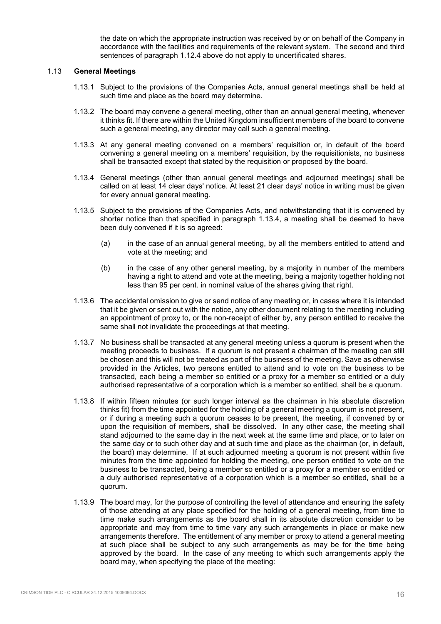the date on which the appropriate instruction was received by or on behalf of the Company in accordance with the facilities and requirements of the relevant system. The second and third sentences of paragraph 1.12.4 above do not apply to uncertificated shares.

## 1.13 **General Meetings**

- 1.13.1 Subject to the provisions of the Companies Acts, annual general meetings shall be held at such time and place as the board may determine.
- 1.13.2 The board may convene a general meeting, other than an annual general meeting, whenever it thinks fit. If there are within the United Kingdom insufficient members of the board to convene such a general meeting, any director may call such a general meeting.
- 1.13.3 At any general meeting convened on a members' requisition or, in default of the board convening a general meeting on a members' requisition, by the requisitionists, no business shall be transacted except that stated by the requisition or proposed by the board.
- 1.13.4 General meetings (other than annual general meetings and adjourned meetings) shall be called on at least 14 clear days' notice. At least 21 clear days' notice in writing must be given for every annual general meeting.
- 1.13.5 Subject to the provisions of the Companies Acts, and notwithstanding that it is convened by shorter notice than that specified in paragraph 1.13.4, a meeting shall be deemed to have been duly convened if it is so agreed:
	- (a) in the case of an annual general meeting, by all the members entitled to attend and vote at the meeting; and
	- (b) in the case of any other general meeting, by a majority in number of the members having a right to attend and vote at the meeting, being a majority together holding not less than 95 per cent. in nominal value of the shares giving that right.
- 1.13.6 The accidental omission to give or send notice of any meeting or, in cases where it is intended that it be given or sent out with the notice, any other document relating to the meeting including an appointment of proxy to, or the non-receipt of either by, any person entitled to receive the same shall not invalidate the proceedings at that meeting.
- 1.13.7 No business shall be transacted at any general meeting unless a quorum is present when the meeting proceeds to business. If a quorum is not present a chairman of the meeting can still be chosen and this will not be treated as part of the business of the meeting. Save as otherwise provided in the Articles, two persons entitled to attend and to vote on the business to be transacted, each being a member so entitled or a proxy for a member so entitled or a duly authorised representative of a corporation which is a member so entitled, shall be a quorum.
- 1.13.8 If within fifteen minutes (or such longer interval as the chairman in his absolute discretion thinks fit) from the time appointed for the holding of a general meeting a quorum is not present, or if during a meeting such a quorum ceases to be present, the meeting, if convened by or upon the requisition of members, shall be dissolved. In any other case, the meeting shall stand adjourned to the same day in the next week at the same time and place, or to later on the same day or to such other day and at such time and place as the chairman (or, in default, the board) may determine. If at such adjourned meeting a quorum is not present within five minutes from the time appointed for holding the meeting, one person entitled to vote on the business to be transacted, being a member so entitled or a proxy for a member so entitled or a duly authorised representative of a corporation which is a member so entitled, shall be a quorum.
- 1.13.9 The board may, for the purpose of controlling the level of attendance and ensuring the safety of those attending at any place specified for the holding of a general meeting, from time to time make such arrangements as the board shall in its absolute discretion consider to be appropriate and may from time to time vary any such arrangements in place or make new arrangements therefore. The entitlement of any member or proxy to attend a general meeting at such place shall be subject to any such arrangements as may be for the time being approved by the board. In the case of any meeting to which such arrangements apply the board may, when specifying the place of the meeting: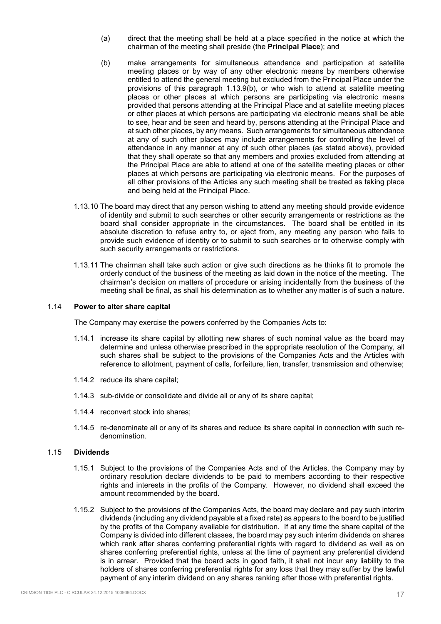- (a) direct that the meeting shall be held at a place specified in the notice at which the chairman of the meeting shall preside (the **Principal Place**); and
- (b) make arrangements for simultaneous attendance and participation at satellite meeting places or by way of any other electronic means by members otherwise entitled to attend the general meeting but excluded from the Principal Place under the provisions of this paragraph 1.13.9(b), or who wish to attend at satellite meeting places or other places at which persons are participating via electronic means provided that persons attending at the Principal Place and at satellite meeting places or other places at which persons are participating via electronic means shall be able to see, hear and be seen and heard by, persons attending at the Principal Place and at such other places, by any means. Such arrangements for simultaneous attendance at any of such other places may include arrangements for controlling the level of attendance in any manner at any of such other places (as stated above), provided that they shall operate so that any members and proxies excluded from attending at the Principal Place are able to attend at one of the satellite meeting places or other places at which persons are participating via electronic means. For the purposes of all other provisions of the Articles any such meeting shall be treated as taking place and being held at the Principal Place.
- 1.13.10 The board may direct that any person wishing to attend any meeting should provide evidence of identity and submit to such searches or other security arrangements or restrictions as the board shall consider appropriate in the circumstances. The board shall be entitled in its absolute discretion to refuse entry to, or eject from, any meeting any person who fails to provide such evidence of identity or to submit to such searches or to otherwise comply with such security arrangements or restrictions.
- 1.13.11 The chairman shall take such action or give such directions as he thinks fit to promote the orderly conduct of the business of the meeting as laid down in the notice of the meeting. The chairman's decision on matters of procedure or arising incidentally from the business of the meeting shall be final, as shall his determination as to whether any matter is of such a nature.

## 1.14 **Power to alter share capital**

The Company may exercise the powers conferred by the Companies Acts to:

- 1.14.1 increase its share capital by allotting new shares of such nominal value as the board may determine and unless otherwise prescribed in the appropriate resolution of the Company, all such shares shall be subject to the provisions of the Companies Acts and the Articles with reference to allotment, payment of calls, forfeiture, lien, transfer, transmission and otherwise;
- 1.14.2 reduce its share capital;
- 1.14.3 sub-divide or consolidate and divide all or any of its share capital;
- 1.14.4 reconvert stock into shares;
- 1.14.5 re-denominate all or any of its shares and reduce its share capital in connection with such redenomination.

#### 1.15 **Dividends**

- 1.15.1 Subject to the provisions of the Companies Acts and of the Articles, the Company may by ordinary resolution declare dividends to be paid to members according to their respective rights and interests in the profits of the Company. However, no dividend shall exceed the amount recommended by the board.
- 1.15.2 Subject to the provisions of the Companies Acts, the board may declare and pay such interim dividends (including any dividend payable at a fixed rate) as appears to the board to be justified by the profits of the Company available for distribution. If at any time the share capital of the Company is divided into different classes, the board may pay such interim dividends on shares which rank after shares conferring preferential rights with regard to dividend as well as on shares conferring preferential rights, unless at the time of payment any preferential dividend is in arrear. Provided that the board acts in good faith, it shall not incur any liability to the holders of shares conferring preferential rights for any loss that they may suffer by the lawful payment of any interim dividend on any shares ranking after those with preferential rights.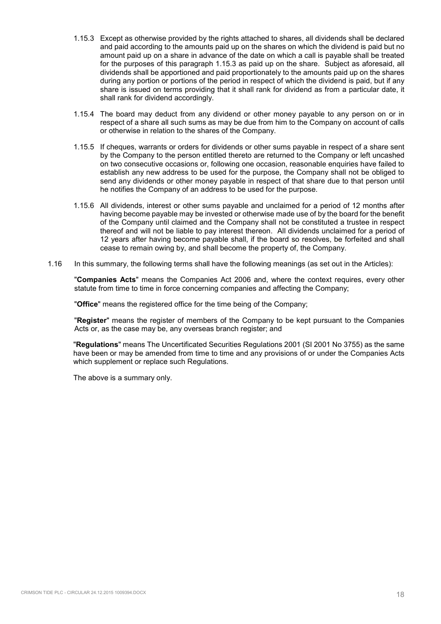- 1.15.3 Except as otherwise provided by the rights attached to shares, all dividends shall be declared and paid according to the amounts paid up on the shares on which the dividend is paid but no amount paid up on a share in advance of the date on which a call is payable shall be treated for the purposes of this paragraph 1.15.3 as paid up on the share. Subject as aforesaid, all dividends shall be apportioned and paid proportionately to the amounts paid up on the shares during any portion or portions of the period in respect of which the dividend is paid, but if any share is issued on terms providing that it shall rank for dividend as from a particular date, it shall rank for dividend accordingly.
- 1.15.4 The board may deduct from any dividend or other money payable to any person on or in respect of a share all such sums as may be due from him to the Company on account of calls or otherwise in relation to the shares of the Company.
- 1.15.5 If cheques, warrants or orders for dividends or other sums payable in respect of a share sent by the Company to the person entitled thereto are returned to the Company or left uncashed on two consecutive occasions or, following one occasion, reasonable enquiries have failed to establish any new address to be used for the purpose, the Company shall not be obliged to send any dividends or other money payable in respect of that share due to that person until he notifies the Company of an address to be used for the purpose.
- 1.15.6 All dividends, interest or other sums payable and unclaimed for a period of 12 months after having become payable may be invested or otherwise made use of by the board for the benefit of the Company until claimed and the Company shall not be constituted a trustee in respect thereof and will not be liable to pay interest thereon. All dividends unclaimed for a period of 12 years after having become payable shall, if the board so resolves, be forfeited and shall cease to remain owing by, and shall become the property of, the Company.
- 1.16 In this summary, the following terms shall have the following meanings (as set out in the Articles):

"**Companies Acts**" means the Companies Act 2006 and, where the context requires, every other statute from time to time in force concerning companies and affecting the Company;

"**Office**" means the registered office for the time being of the Company;

"**Register**" means the register of members of the Company to be kept pursuant to the Companies Acts or, as the case may be, any overseas branch register; and

"**Regulations**" means The Uncertificated Securities Regulations 2001 (SI 2001 No 3755) as the same have been or may be amended from time to time and any provisions of or under the Companies Acts which supplement or replace such Regulations.

The above is a summary only.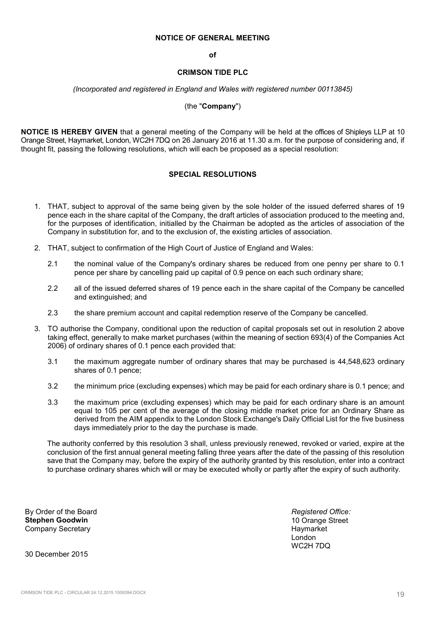#### **NOTICE OF GENERAL MEETING**

#### **of**

#### **CRIMSON TIDE PLC**

#### *(Incorporated and registered in England and Wales with registered number 00113845)*

#### (the "**Company**")

**NOTICE IS HEREBY GIVEN** that a general meeting of the Company will be held at the offices of Shipleys LLP at 10 Orange Street, Haymarket, London, WC2H 7DQ on 26 January 2016 at 11.30 a.m. for the purpose of considering and, if thought fit, passing the following resolutions, which will each be proposed as a special resolution:

### **SPECIAL RESOLUTIONS**

- 1. THAT, subject to approval of the same being given by the sole holder of the issued deferred shares of 19 pence each in the share capital of the Company, the draft articles of association produced to the meeting and, for the purposes of identification, initialled by the Chairman be adopted as the articles of association of the Company in substitution for, and to the exclusion of, the existing articles of association.
- 2. THAT, subject to confirmation of the High Court of Justice of England and Wales:
	- 2.1 the nominal value of the Company's ordinary shares be reduced from one penny per share to 0.1 pence per share by cancelling paid up capital of 0.9 pence on each such ordinary share;
	- 2.2 all of the issued deferred shares of 19 pence each in the share capital of the Company be cancelled and extinguished; and
	- 2.3 the share premium account and capital redemption reserve of the Company be cancelled.
- 3. TO authorise the Company, conditional upon the reduction of capital proposals set out in resolution 2 above taking effect, generally to make market purchases (within the meaning of section 693(4) of the Companies Act 2006) of ordinary shares of 0.1 pence each provided that:
	- 3.1 the maximum aggregate number of ordinary shares that may be purchased is 44,548,623 ordinary shares of 0.1 pence;
	- 3.2 the minimum price (excluding expenses) which may be paid for each ordinary share is 0.1 pence; and
	- 3.3 the maximum price (excluding expenses) which may be paid for each ordinary share is an amount equal to 105 per cent of the average of the closing middle market price for an Ordinary Share as derived from the AIM appendix to the London Stock Exchange's Daily Official List for the five business days immediately prior to the day the purchase is made.

The authority conferred by this resolution 3 shall, unless previously renewed, revoked or varied, expire at the conclusion of the first annual general meeting falling three years after the date of the passing of this resolution save that the Company may, before the expiry of the authority granted by this resolution, enter into a contract to purchase ordinary shares which will or may be executed wholly or partly after the expiry of such authority.

By Order of the Board **Stephen Goodwin**  Company Secretary

*Registered Office:*  10 Orange Street **Haymarket** London WC2H 7DQ

30 December 2015